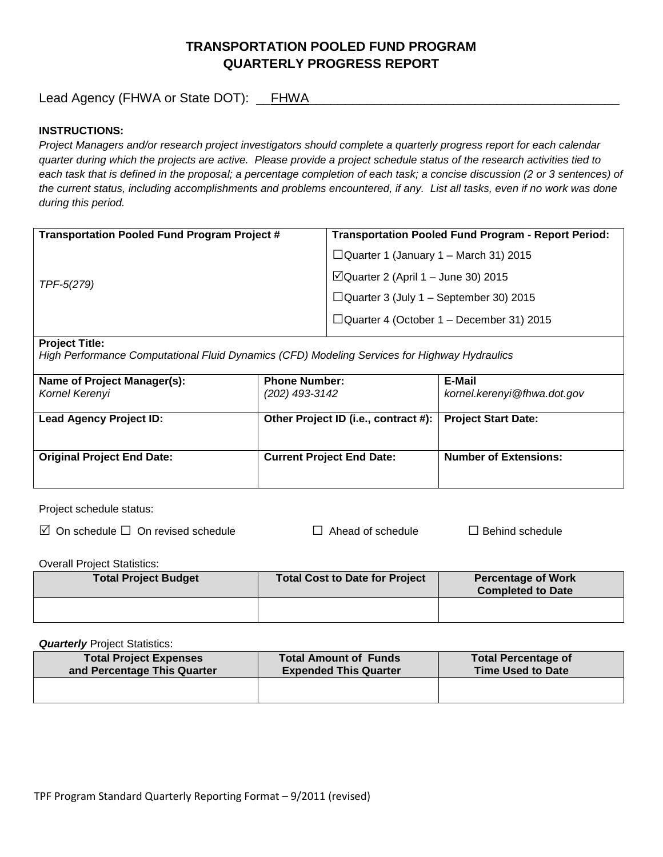## **TRANSPORTATION POOLED FUND PROGRAM QUARTERLY PROGRESS REPORT**

Lead Agency (FHWA or State DOT): \_\_FHWA\_\_\_\_\_\_\_\_\_\_\_\_\_\_\_\_\_\_\_\_\_\_\_\_\_\_\_\_\_\_\_\_\_\_\_\_\_\_\_\_\_\_\_

### **INSTRUCTIONS:**

*Project Managers and/or research project investigators should complete a quarterly progress report for each calendar quarter during which the projects are active. Please provide a project schedule status of the research activities tied to*  each task that is defined in the proposal; a percentage completion of each task; a concise discussion (2 or 3 sentences) of *the current status, including accomplishments and problems encountered, if any. List all tasks, even if no work was done during this period.*

| <b>Transportation Pooled Fund Program Project #</b> | <b>Transportation Pooled Fund Program - Report Period:</b> |  |
|-----------------------------------------------------|------------------------------------------------------------|--|
| TPF-5(279)                                          | $\Box$ Quarter 1 (January 1 – March 31) 2015               |  |
|                                                     | $\Box$ Quarter 2 (April 1 – June 30) 2015                  |  |
|                                                     | $\Box$ Quarter 3 (July 1 – September 30) 2015              |  |
|                                                     | $\Box$ Quarter 4 (October 1 – December 31) 2015            |  |
|                                                     |                                                            |  |

#### **Project Title:**

*High Performance Computational Fluid Dynamics (CFD) Modeling Services for Highway Hydraulics*

| Name of Project Manager(s):<br>Kornel Kerenyi | <b>Phone Number:</b><br>(202) 493-3142                     | E-Mail<br>kornel.kerenyi@fhwa.dot.gov |
|-----------------------------------------------|------------------------------------------------------------|---------------------------------------|
| <b>Lead Agency Project ID:</b>                | Other Project ID (i.e., contract #):   Project Start Date: |                                       |
| <b>Original Project End Date:</b>             | <b>Current Project End Date:</b>                           | <b>Number of Extensions:</b>          |

Project schedule status:

On schedule □ On revised schedule □ Ahead of schedule □ Behind schedule

Overall Project Statistics:

| <b>Total Project Budget</b> | Total Cost to Date for Project | <b>Percentage of Work</b><br><b>Completed to Date</b> |
|-----------------------------|--------------------------------|-------------------------------------------------------|
|                             |                                |                                                       |

**Quarterly** Project Statistics:

| <b>Total Project Expenses</b><br>and Percentage This Quarter | <b>Total Amount of Funds</b><br><b>Expended This Quarter</b> | <b>Total Percentage of</b><br><b>Time Used to Date</b> |
|--------------------------------------------------------------|--------------------------------------------------------------|--------------------------------------------------------|
|                                                              |                                                              |                                                        |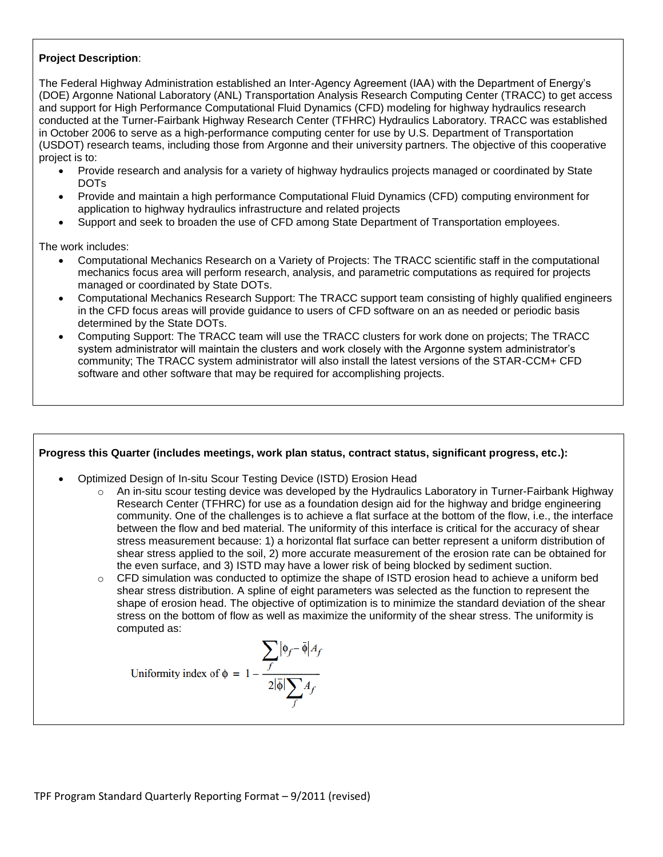### **Project Description**:

The Federal Highway Administration established an Inter-Agency Agreement (IAA) with the Department of Energy's (DOE) Argonne National Laboratory (ANL) Transportation Analysis Research Computing Center (TRACC) to get access and support for High Performance Computational Fluid Dynamics (CFD) modeling for highway hydraulics research conducted at the Turner-Fairbank Highway Research Center (TFHRC) Hydraulics Laboratory. TRACC was established in October 2006 to serve as a high-performance computing center for use by U.S. Department of Transportation (USDOT) research teams, including those from Argonne and their university partners. The objective of this cooperative project is to:

- Provide research and analysis for a variety of highway hydraulics projects managed or coordinated by State DOTs
- Provide and maintain a high performance Computational Fluid Dynamics (CFD) computing environment for application to highway hydraulics infrastructure and related projects
- Support and seek to broaden the use of CFD among State Department of Transportation employees.

The work includes:

- Computational Mechanics Research on a Variety of Projects: The TRACC scientific staff in the computational mechanics focus area will perform research, analysis, and parametric computations as required for projects managed or coordinated by State DOTs.
- Computational Mechanics Research Support: The TRACC support team consisting of highly qualified engineers in the CFD focus areas will provide guidance to users of CFD software on an as needed or periodic basis determined by the State DOTs.
- Computing Support: The TRACC team will use the TRACC clusters for work done on projects; The TRACC system administrator will maintain the clusters and work closely with the Argonne system administrator's community; The TRACC system administrator will also install the latest versions of the STAR-CCM+ CFD software and other software that may be required for accomplishing projects.

# **Progress this Quarter (includes meetings, work plan status, contract status, significant progress, etc.):** Optimized Design of In-situ Scour Testing Device (ISTD) Erosion Head An in-situ scour testing device was developed by the Hydraulics Laboratory in Turner-Fairbank Highway Research Center (TFHRC) for use as a foundation design aid for the highway and bridge engineering community. One of the challenges is to achieve a flat surface at the bottom of the flow, i.e., the interface between the flow and bed material. The uniformity of this interface is critical for the accuracy of shear stress measurement because: 1) a horizontal flat surface can better represent a uniform distribution of shear stress applied to the soil, 2) more accurate measurement of the erosion rate can be obtained for the even surface, and 3) ISTD may have a lower risk of being blocked by sediment suction.  $\circ$  CFD simulation was conducted to optimize the shape of ISTD erosion head to achieve a uniform bed shear stress distribution. A spline of eight parameters was selected as the function to represent the shape of erosion head. The objective of optimization is to minimize the standard deviation of the shear stress on the bottom of flow as well as maximize the uniformity of the shear stress. The uniformity is computed as:Uniformity index of  $\phi = 1 - \frac{\sum_{f} |\phi_f - \phi| A_f}{2|\overline{\phi}| \sum_{f} A_f}$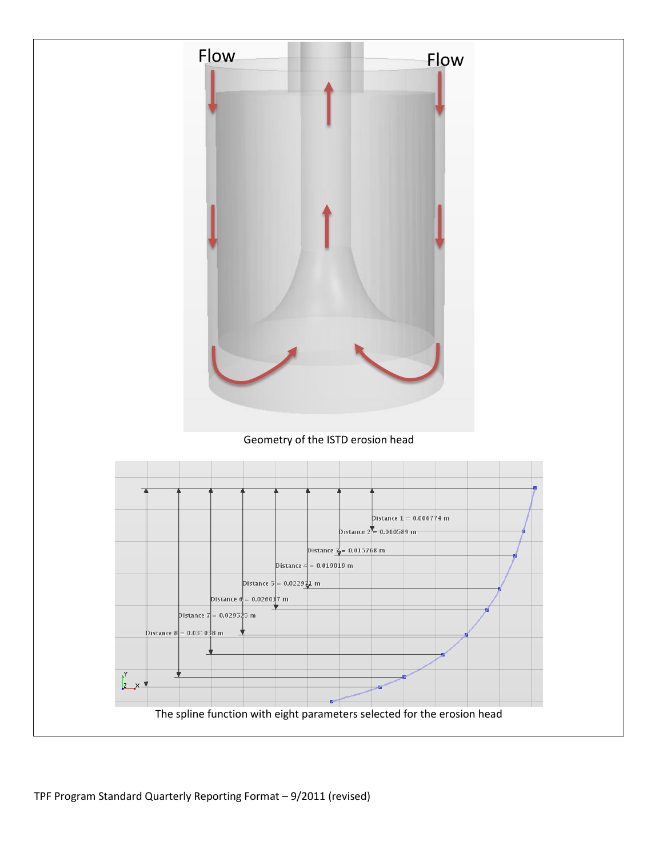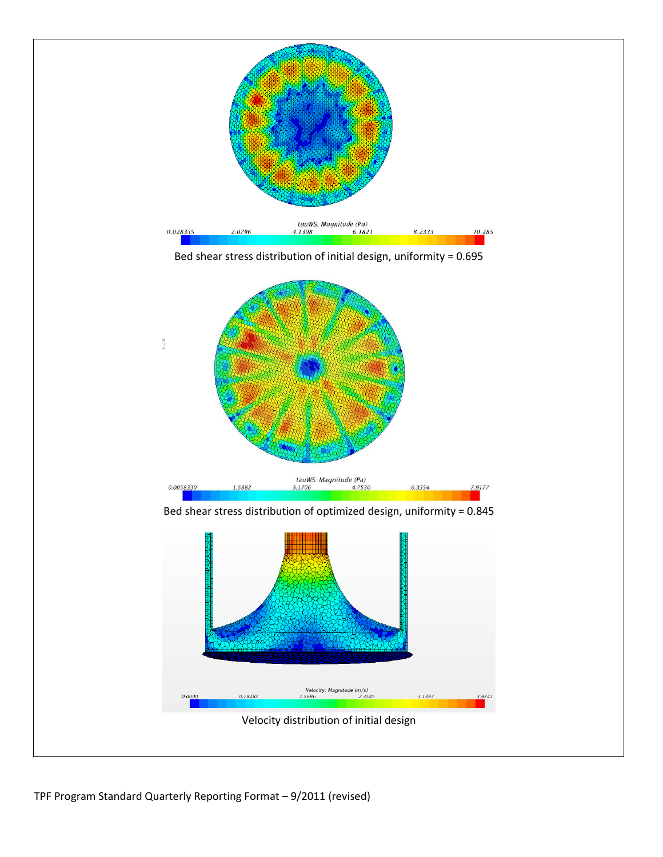